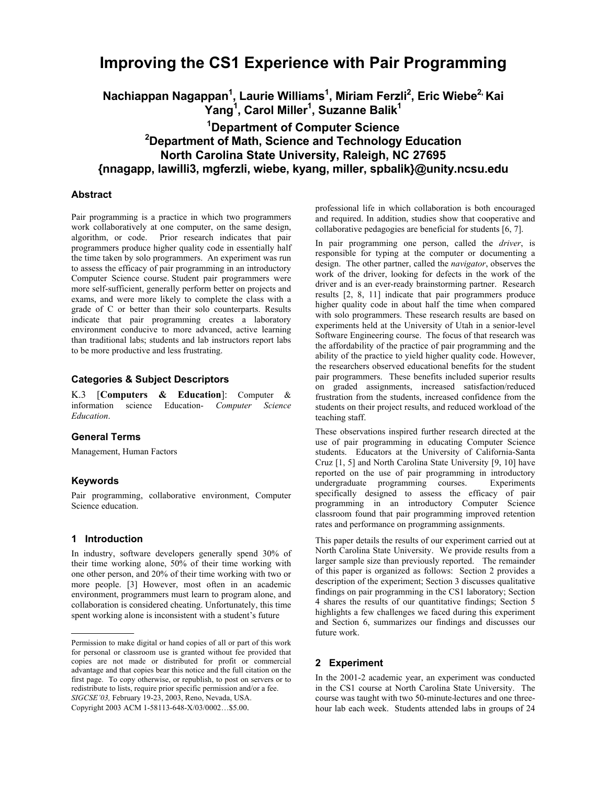# **Improving the CS1 Experience with Pair Programming**

**Nachiappan Nagappan1 , Laurie Williams1 , Miriam Ferzli2 , Eric Wiebe2, Kai**   $\mathsf{Yang}^1$ , Carol Miller<sup>1</sup>, Suzanne Balik<sup>1</sup> **1 Department of Computer Science 2 Department of Math, Science and Technology Education North Carolina State University, Raleigh, NC 27695** 

**{nnagapp, lawilli3, mgferzli, wiebe, kyang, miller, spbalik}@unity.ncsu.edu** 

## **Abstract**

Pair programming is a practice in which two programmers work collaboratively at one computer, on the same design, algorithm, or code. Prior research indicates that pair programmers produce higher quality code in essentially half the time taken by solo programmers. An experiment was run to assess the efficacy of pair programming in an introductory Computer Science course. Student pair programmers were more self-sufficient, generally perform better on projects and exams, and were more likely to complete the class with a grade of C or better than their solo counterparts. Results indicate that pair programming creates a laboratory environment conducive to more advanced, active learning than traditional labs; students and lab instructors report labs to be more productive and less frustrating.

#### **Categories & Subject Descriptors**

K.3 [**Computers & Education**]: Computer & information science Education- *Computer Science Education*.

# **General Terms**

Management, Human Factors

#### **Keywords**

Pair programming, collaborative environment, Computer Science education.

## **1 Introduction**

In industry, software developers generally spend 30% of their time working alone, 50% of their time working with one other person, and 20% of their time working with two or more people. [3] However, most often in an academic environment, programmers must learn to program alone, and collaboration is considered cheating. Unfortunately, this time spent working alone is inconsistent with a student's future

professional life in which collaboration is both encouraged and required. In addition, studies show that cooperative and collaborative pedagogies are beneficial for students [6, 7].

In pair programming one person, called the *driver*, is responsible for typing at the computer or documenting a design. The other partner, called the *navigator*, observes the work of the driver, looking for defects in the work of the driver and is an ever-ready brainstorming partner. Research results [2, 8, 11] indicate that pair programmers produce higher quality code in about half the time when compared with solo programmers. These research results are based on experiments held at the University of Utah in a senior-level Software Engineering course. The focus of that research was the affordability of the practice of pair programming and the ability of the practice to yield higher quality code. However, the researchers observed educational benefits for the student pair programmers. These benefits included superior results on graded assignments, increased satisfaction/reduced frustration from the students, increased confidence from the students on their project results, and reduced workload of the teaching staff.

These observations inspired further research directed at the use of pair programming in educating Computer Science students. Educators at the University of California-Santa Cruz [1, 5] and North Carolina State University [9, 10] have reported on the use of pair programming in introductory undergraduate programming courses. Experiments specifically designed to assess the efficacy of pair programming in an introductory Computer Science classroom found that pair programming improved retention rates and performance on programming assignments.

This paper details the results of our experiment carried out at North Carolina State University. We provide results from a larger sample size than previously reported. The remainder of this paper is organized as follows: Section 2 provides a description of the experiment; Section 3 discusses qualitative findings on pair programming in the CS1 laboratory; Section 4 shares the results of our quantitative findings; Section 5 highlights a few challenges we faced during this experiment and Section 6, summarizes our findings and discusses our future work.

# **2 Experiment**

In the 2001-2 academic year, an experiment was conducted in the CS1 course at North Carolina State University. The course was taught with two 50-minute lectures and one threehour lab each week. Students attended labs in groups of 24

Permission to make digital or hand copies of all or part of this work for personal or classroom use is granted without fee provided that copies are not made or distributed for profit or commercial advantage and that copies bear this notice and the full citation on the first page. To copy otherwise, or republish, to post on servers or to redistribute to lists, require prior specific permission and/or a fee. *SIGCSE'03,* February 19-23, 2003, Reno, Nevada, USA. Copyright 2003 ACM 1-58113-648-X/03/0002…\$5.00.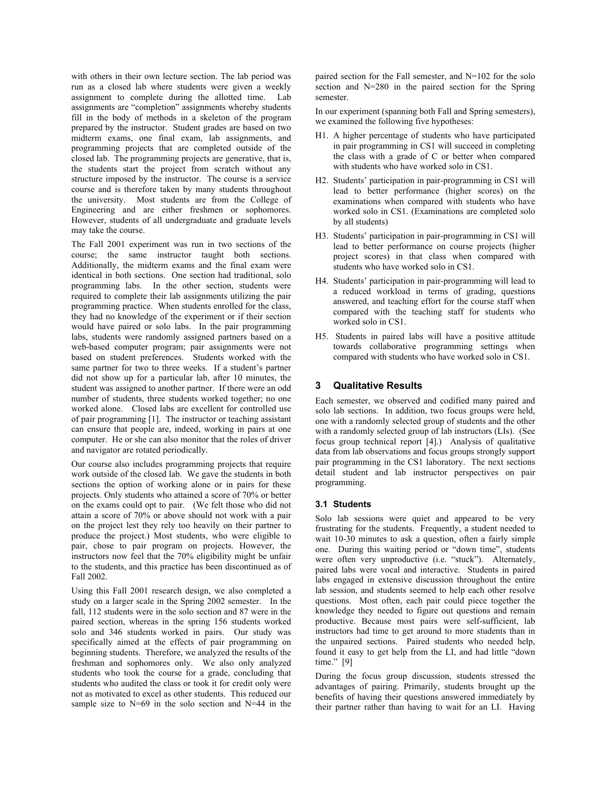with others in their own lecture section. The lab period was run as a closed lab where students were given a weekly assignment to complete during the allotted time. Lab assignments are "completion" assignments whereby students fill in the body of methods in a skeleton of the program prepared by the instructor. Student grades are based on two midterm exams, one final exam, lab assignments, and programming projects that are completed outside of the closed lab. The programming projects are generative, that is, the students start the project from scratch without any structure imposed by the instructor. The course is a service course and is therefore taken by many students throughout the university. Most students are from the College of Engineering and are either freshmen or sophomores. However, students of all undergraduate and graduate levels may take the course.

The Fall 2001 experiment was run in two sections of the course; the same instructor taught both sections. Additionally, the midterm exams and the final exam were identical in both sections. One section had traditional, solo programming labs. In the other section, students were required to complete their lab assignments utilizing the pair programming practice. When students enrolled for the class, they had no knowledge of the experiment or if their section would have paired or solo labs. In the pair programming labs, students were randomly assigned partners based on a web-based computer program; pair assignments were not based on student preferences. Students worked with the same partner for two to three weeks. If a student's partner did not show up for a particular lab, after 10 minutes, the student was assigned to another partner. If there were an odd number of students, three students worked together; no one worked alone. Closed labs are excellent for controlled use of pair programming [1]. The instructor or teaching assistant can ensure that people are, indeed, working in pairs at one computer. He or she can also monitor that the roles of driver and navigator are rotated periodically.

Our course also includes programming projects that require work outside of the closed lab. We gave the students in both sections the option of working alone or in pairs for these projects. Only students who attained a score of 70% or better on the exams could opt to pair. (We felt those who did not attain a score of 70% or above should not work with a pair on the project lest they rely too heavily on their partner to produce the project.) Most students, who were eligible to pair, chose to pair program on projects. However, the instructors now feel that the 70% eligibility might be unfair to the students, and this practice has been discontinued as of Fall 2002.

Using this Fall 2001 research design, we also completed a study on a larger scale in the Spring 2002 semester. In the fall, 112 students were in the solo section and 87 were in the paired section, whereas in the spring 156 students worked solo and 346 students worked in pairs. Our study was specifically aimed at the effects of pair programming on beginning students. Therefore, we analyzed the results of the freshman and sophomores only. We also only analyzed students who took the course for a grade, concluding that students who audited the class or took it for credit only were not as motivated to excel as other students. This reduced our sample size to  $N=69$  in the solo section and  $N=44$  in the

paired section for the Fall semester, and N=102 for the solo section and N=280 in the paired section for the Spring semester.

In our experiment (spanning both Fall and Spring semesters), we examined the following five hypotheses:

- H1. A higher percentage of students who have participated in pair programming in CS1 will succeed in completing the class with a grade of C or better when compared with students who have worked solo in CS1.
- H2. Students' participation in pair-programming in CS1 will lead to better performance (higher scores) on the examinations when compared with students who have worked solo in CS1. (Examinations are completed solo by all students)
- H3. Students' participation in pair-programming in CS1 will lead to better performance on course projects (higher project scores) in that class when compared with students who have worked solo in CS1.
- H4. Students' participation in pair-programming will lead to a reduced workload in terms of grading, questions answered, and teaching effort for the course staff when compared with the teaching staff for students who worked solo in CS1.
- H5. Students in paired labs will have a positive attitude towards collaborative programming settings when compared with students who have worked solo in CS1.

# **3 Qualitative Results**

Each semester, we observed and codified many paired and solo lab sections. In addition, two focus groups were held, one with a randomly selected group of students and the other with a randomly selected group of lab instructors (LIs). (See focus group technical report [4].) Analysis of qualitative data from lab observations and focus groups strongly support pair programming in the CS1 laboratory. The next sections detail student and lab instructor perspectives on pair programming.

#### **3.1 Students**

Solo lab sessions were quiet and appeared to be very frustrating for the students. Frequently, a student needed to wait 10-30 minutes to ask a question, often a fairly simple one. During this waiting period or "down time", students were often very unproductive (i.e. "stuck"). Alternately, paired labs were vocal and interactive. Students in paired labs engaged in extensive discussion throughout the entire lab session, and students seemed to help each other resolve questions. Most often, each pair could piece together the knowledge they needed to figure out questions and remain productive. Because most pairs were self-sufficient, lab instructors had time to get around to more students than in the unpaired sections. Paired students who needed help, found it easy to get help from the LI, and had little "down time." [9]

During the focus group discussion, students stressed the advantages of pairing. Primarily, students brought up the benefits of having their questions answered immediately by their partner rather than having to wait for an LI. Having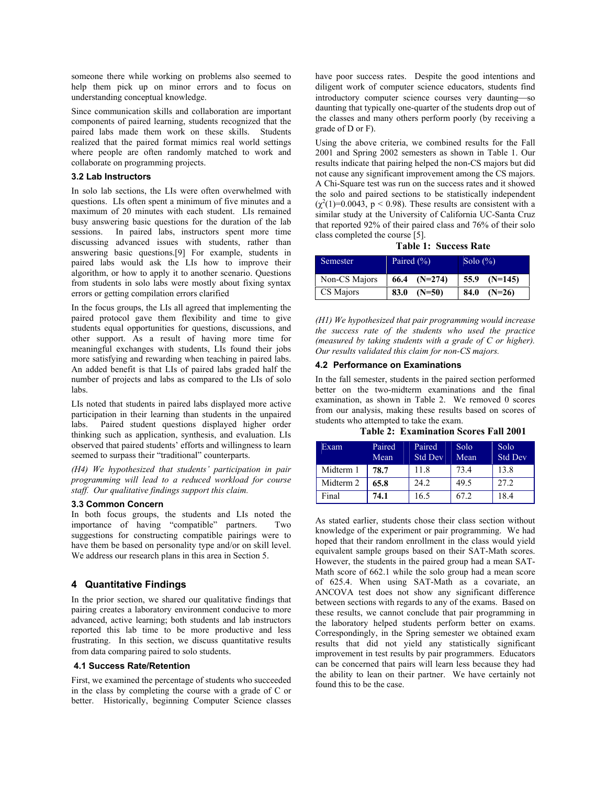someone there while working on problems also seemed to help them pick up on minor errors and to focus on understanding conceptual knowledge.

Since communication skills and collaboration are important components of paired learning, students recognized that the paired labs made them work on these skills. Students realized that the paired format mimics real world settings where people are often randomly matched to work and collaborate on programming projects.

#### **3.2 Lab Instructors**

In solo lab sections, the LIs were often overwhelmed with questions. LIs often spent a minimum of five minutes and a maximum of 20 minutes with each student. LIs remained busy answering basic questions for the duration of the lab sessions. In paired labs, instructors spent more time discussing advanced issues with students, rather than answering basic questions.[9] For example, students in paired labs would ask the LIs how to improve their algorithm, or how to apply it to another scenario. Questions from students in solo labs were mostly about fixing syntax errors or getting compilation errors clarified

In the focus groups, the LIs all agreed that implementing the paired protocol gave them flexibility and time to give students equal opportunities for questions, discussions, and other support. As a result of having more time for meaningful exchanges with students, LIs found their jobs more satisfying and rewarding when teaching in paired labs. An added benefit is that LIs of paired labs graded half the number of projects and labs as compared to the LIs of solo labs.

LIs noted that students in paired labs displayed more active participation in their learning than students in the unpaired labs. Paired student questions displayed higher order thinking such as application, synthesis, and evaluation. LIs observed that paired students' efforts and willingness to learn seemed to surpass their "traditional" counterparts.

*(H4) We hypothesized that students' participation in pair programming will lead to a reduced workload for course staff. Our qualitative findings support this claim.* 

#### **3.3 Common Concern**

In both focus groups, the students and LIs noted the importance of having "compatible" partners. Two suggestions for constructing compatible pairings were to have them be based on personality type and/or on skill level. We address our research plans in this area in Section 5.

## **4 Quantitative Findings**

In the prior section, we shared our qualitative findings that pairing creates a laboratory environment conducive to more advanced, active learning; both students and lab instructors reported this lab time to be more productive and less frustrating. In this section, we discuss quantitative results from data comparing paired to solo students.

#### **4.1 Success Rate/Retention**

First, we examined the percentage of students who succeeded in the class by completing the course with a grade of C or better. Historically, beginning Computer Science classes have poor success rates. Despite the good intentions and diligent work of computer science educators, students find introductory computer science courses very daunting-so daunting that typically one-quarter of the students drop out of the classes and many others perform poorly (by receiving a grade of D or F).

Using the above criteria, we combined results for the Fall 2001 and Spring 2002 semesters as shown in Table 1. Our results indicate that pairing helped the non-CS majors but did not cause any significant improvement among the CS majors. A Chi-Square test was run on the success rates and it showed the solo and paired sections to be statistically independent  $(\chi^2(1)=0.0043, p < 0.98)$ . These results are consistent with a similar study at the University of California UC-Santa Cruz that reported 92% of their paired class and 76% of their solo class completed the course [5].

**Table 1: Success Rate** 

| Semester      | Paired $(\% )$      | Solo $(\% )$     |  |
|---------------|---------------------|------------------|--|
| Non-CS Majors | $66.4$ (N=274)      | $55.9$ (N=145)   |  |
| CS Majors     | $83.0 \quad (N=50)$ | 84.0<br>$(N=26)$ |  |

*(H1) We hypothesized that pair programming would increase the success rate of the students who used the practice (measured by taking students with a grade of C or higher). Our results validated this claim for non-CS majors.* 

## **4.2 Performance on Examinations**

In the fall semester, students in the paired section performed better on the two-midterm examinations and the final examination, as shown in Table 2. We removed 0 scores from our analysis, making these results based on scores of students who attempted to take the exam.

**Table 2: Examination Scores Fall 2001** 

| Exam      | Paired<br>Mean | Paired<br><b>Std Dev</b> | Solo<br>Mean | Solo<br><b>Std Dev</b> |
|-----------|----------------|--------------------------|--------------|------------------------|
| Midterm 1 | 78.7           | 11 8                     | 734          | 13.8                   |
| Midterm 2 | 65.8           | 242                      | 49.5         | 272                    |
| Final     | 74.1           | 16.5                     | 67.2         | 18.4                   |

As stated earlier, students chose their class section without knowledge of the experiment or pair programming. We had hoped that their random enrollment in the class would yield equivalent sample groups based on their SAT-Math scores. However, the students in the paired group had a mean SAT-Math score of 662.1 while the solo group had a mean score of 625.4. When using SAT-Math as a covariate, an ANCOVA test does not show any significant difference between sections with regards to any of the exams. Based on these results, we cannot conclude that pair programming in the laboratory helped students perform better on exams. Correspondingly, in the Spring semester we obtained exam results that did not yield any statistically significant improvement in test results by pair programmers. Educators can be concerned that pairs will learn less because they had the ability to lean on their partner. We have certainly not found this to be the case.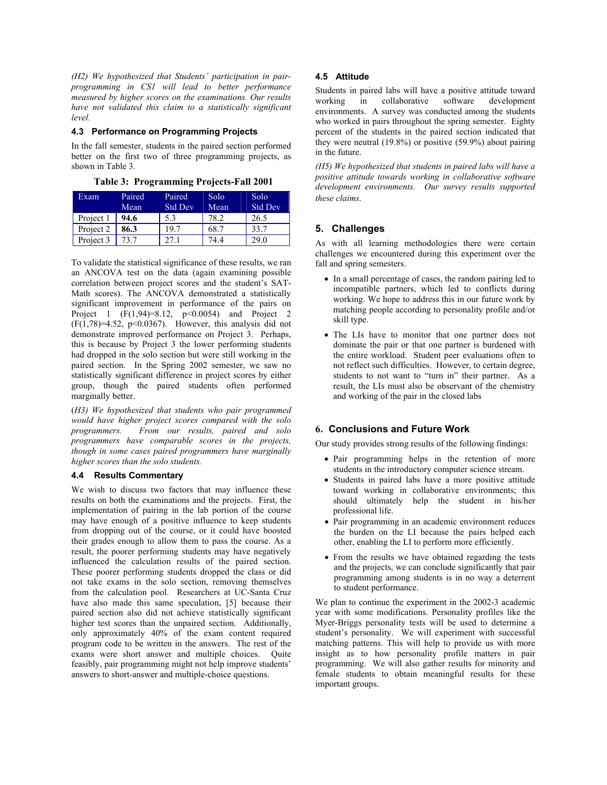*(H2) We hypothesized that Students' participation in pairprogramming in CS1 will lead to better performance measured by higher scores on the examinations. Our results have not validated this claim to a statistically significant level.* 

## **4.3 Performance on Programming Projects**

In the fall semester, students in the paired section performed better on the first two of three programming projects, as shown in Table 3.

| Exam      | Paired<br>Mean | Paired<br><b>Std Dev</b> | Solo<br>Mean | Solo<br>Std Dev |
|-----------|----------------|--------------------------|--------------|-----------------|
| Project 1 | 94.6           | 53                       | 78.2         | 26.5            |
| Project 2 | 86.3           | 19.7                     | 68.7         | 33.7            |
| Project 3 | 73.7           |                          | 74.4         | 29.0            |

 **Table 3: Programming Projects-Fall 2001** 

To validate the statistical significance of these results, we ran an ANCOVA test on the data (again examining possible correlation between project scores and the student's SAT-Math scores). The ANCOVA demonstrated a statistically significant improvement in performance of the pairs on Project 1  $(F(1,94)=8.12, p<0.0054)$  and Project 2  $(F(1,78)=4.52, p<0.0367)$ . However, this analysis did not demonstrate improved performance on Project 3. Perhaps, this is because by Project 3 the lower performing students had dropped in the solo section but were still working in the paired section. In the Spring 2002 semester, we saw no statistically significant difference in project scores by either group, though the paired students often performed marginally better.

(*H3) We hypothesized that students who pair programmed would have higher project scores compared with the solo programmers. From our results, paired and solo programmers have comparable scores in the projects, though in some cases paired programmers have marginally higher scores than the solo students.*

#### **4.4 Results Commentary**

We wish to discuss two factors that may influence these results on both the examinations and the projects. First, the implementation of pairing in the lab portion of the course may have enough of a positive influence to keep students from dropping out of the course, or it could have boosted their grades enough to allow them to pass the course. As a result, the poorer performing students may have negatively influenced the calculation results of the paired section. These poorer performing students dropped the class or did not take exams in the solo section, removing themselves from the calculation pool. Researchers at UC-Santa Cruz have also made this same speculation, [5] because their paired section also did not achieve statistically significant higher test scores than the unpaired section. Additionally, only approximately 40% of the exam content required program code to be written in the answers. The rest of the exams were short answer and multiple choices. Quite feasibly, pair programming might not help improve students' answers to short-answer and multiple-choice questions.

## **4.5 Attitude**

Students in paired labs will have a positive attitude toward working in collaborative software development environments. A survey was conducted among the students who worked in pairs throughout the spring semester. Eighty percent of the students in the paired section indicated that they were neutral  $(19.8\%)$  or positive  $(59.9\%)$  about pairing in the future.

*(H5) We hypothesized that students in paired labs will have a positive attitude towards working in collaborative software development environments. Our survey results supported these claims.* 

## **5. Challenges**

As with all learning methodologies there were certain challenges we encountered during this experiment over the fall and spring semesters.

- In a small percentage of cases, the random pairing led to incompatible partners, which led to conflicts during working. We hope to address this in our future work by matching people according to personality profile and/or skill type.
- The LIs have to monitor that one partner does not dominate the pair or that one partner is burdened with the entire workload. Student peer evaluations often to not reflect such difficulties. However, to certain degree, students to not want to "turn in" their partner. As a result, the LIs must also be observant of the chemistry and working of the pair in the closed labs

### **6. Conclusions and Future Work**

Our study provides strong results of the following findings:

- Pair programming helps in the retention of more students in the introductory computer science stream.
- Students in paired labs have a more positive attitude toward working in collaborative environments; this should ultimately help the student in his/her professional life.
- Pair programming in an academic environment reduces the burden on the LI because the pairs helped each other, enabling the LI to perform more efficiently.
- From the results we have obtained regarding the tests and the projects, we can conclude significantly that pair programming among students is in no way a deterrent to student performance.

We plan to continue the experiment in the 2002-3 academic year with some modifications. Personality profiles like the Myer-Briggs personality tests will be used to determine a student's personality. We will experiment with successful matching patterns. This will help to provide us with more insight as to how personality profile matters in pair programming. We will also gather results for minority and female students to obtain meaningful results for these important groups.